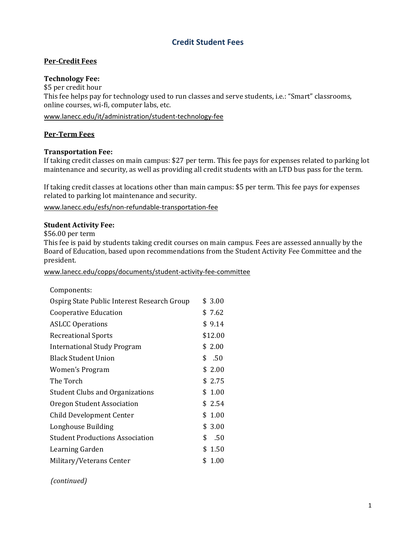# **Credit Student Fees**

# **Per‐Credit Fees**

## **Technology Fee:**

\$5 per credit hour This fee helps pay for technology used to run classes and serve students, i.e.: "Smart" classrooms, online courses, wi-fi, computer labs, etc.

www.lanecc.edu/it/administration/student‐technology‐fee

### **Per‐Term Fees**

#### **Transportation Fee:**

If taking credit classes on main campus: \$27 per term. This fee pays for expenses related to parking lot maintenance and security, as well as providing all credit students with an LTD bus pass for the term.

If taking credit classes at locations other than main campus: \$5 per term. This fee pays for expenses related to parking lot maintenance and security.

www.lanecc.edu/esfs/non‐refundable‐transportation‐fee

#### **Student Activity Fee:**

\$56.00 per term

This fee is paid by students taking credit courses on main campus. Fees are assessed annually by the Board of Education, based upon recommendations from the Student Activity Fee Committee and the president. 

www.lanecc.edu/copps/documents/student‐activity‐fee‐committee

| Components:                                 |            |
|---------------------------------------------|------------|
| Ospirg State Public Interest Research Group | \$3.00     |
| Cooperative Education                       | \$7.62     |
| <b>ASLCC Operations</b>                     | \$9.14     |
| <b>Recreational Sports</b>                  | \$12.00    |
| <b>International Study Program</b>          | \$ 2.00    |
| <b>Black Student Union</b>                  | \$<br>.50  |
| Women's Program                             | \$2.00     |
| The Torch                                   | \$2.75     |
| <b>Student Clubs and Organizations</b>      | \$1.00     |
| Oregon Student Association                  | \$2.54     |
| <b>Child Development Center</b>             | \$1.00     |
| Longhouse Building                          | \$3.00     |
| <b>Student Productions Association</b>      | \$<br>.50  |
| Learning Garden                             | \$1.50     |
| Military/Veterans Center                    | \$<br>1.00 |

 $(continued)$